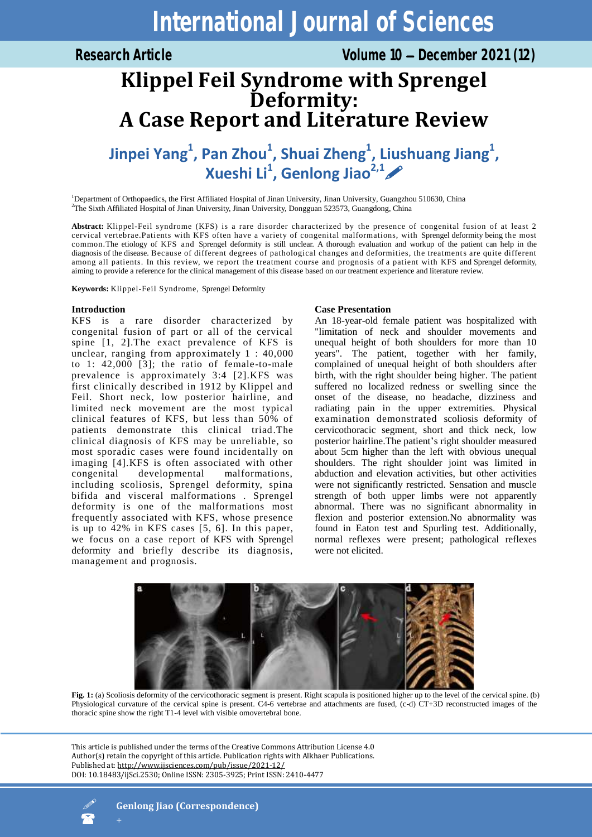# **International Journal of Sciences**

# **Klippel Feil Syndrome with Sprengel Deformity: A Case Report and Literature Review**

**Jinpei Yang<sup>1</sup> , Pan Zhou<sup>1</sup> , Shuai Zheng<sup>1</sup> , Liushuang Jiang<sup>1</sup> , Xueshi Li<sup>1</sup> , Genlong Jiao2,1**

<sup>1</sup>Department of Orthopaedics, the First Affiliated Hospital of Jinan University, Jinan University, Guangzhou 510630, China <sup>2</sup>The Sixth Affiliated Hospital of Jinan University, Jinan University, Dongguan 523573, Guangdong, China

**Abstract:** Klippel-Feil syndrome (KFS) is a rare disorder characterized by the presence of congenital fusion of at least 2 cervical vertebrae.Patients with KFS often have a variety of congenital malformations, with Sprengel deformity being the most common.The etiology of KFS and Sprengel deformity is still unclear. A thorough evaluation and workup of the patient can help in the diagnosis of the disease. Because of different degrees of pathological changes and deformities, the treatments are quite different among all patients. In this review, we report the treatment course and prognosis of a patient with KFS and Sprengel deformity, aiming to provide a reference for the clinical management of this disease based on our treatment experience and literature review.

**Keywords:** Klippel-Feil Syndrome, Sprengel Deformity

## **Introduction**

KFS is a rare disorder characterized by congenital fusion of part or all of the cervical spine [1, 2].The exact prevalence of KFS is unclear, ranging from approximately 1 : 40,000 to 1: 42,000 [3]; the ratio of female-to-male prevalence is approximately 3:4 [2].KFS was first clinically described in 1912 by Klippel and Feil. Short neck, low posterior hairline, and limited neck movement are the most typical clinical features of KFS, but less than 50% of patients demonstrate this clinical triad.The clinical diagnosis of KFS may be unreliable, so most sporadic cases were found incidentally on imaging [4].KFS is often associated with other congenital developmental malformations, including scoliosis, Sprengel deformity, spina bifida and visceral malformations . Sprengel deformity is one of the malformations most frequently associated with KFS, whose presence is up to 42% in KFS cases [5, 6]. In this paper, we focus on a case report of KFS with Sprengel deformity and briefly describe its diagnosis, management and prognosis.

# **Case Presentation**

An 18-year-old female patient was hospitalized with "limitation of neck and shoulder movements and unequal height of both shoulders for more than 10 years". The patient, together with her family, complained of unequal height of both shoulders after birth, with the right shoulder being higher. The patient suffered no localized redness or swelling since the onset of the disease, no headache, dizziness and radiating pain in the upper extremities. Physical examination demonstrated scoliosis deformity of cervicothoracic segment, short and thick neck, low posterior hairline.The patient's right shoulder measured about 5cm higher than the left with obvious unequal shoulders. The right shoulder joint was limited in abduction and elevation activities, but other activities were not significantly restricted. Sensation and muscle strength of both upper limbs were not apparently abnormal. There was no significant abnormality in flexion and posterior extension.No abnormality was found in Eaton test and Spurling test. Additionally, normal reflexes were present; pathological reflexes were not elicited.



Fig. 1: (a) Scoliosis deformity of the cervicothoracic segment is present. Right scapula is positioned higher up to the level of the cervical spine. (b) Physiological curvature of the cervical spine is present. C4-6 vertebrae and attachments are fused, (c-d) CT+3D reconstructed images of the thoracic spine show the right T1-4 level with visible omovertebral bone.

This article is published under the terms of the Creative Commons Attribution License 4.0 Author(s) retain the copyright of this article. Publication rights with Alkhaer Publications. Published at[: http://www.ijsciences.com/pub/issue/2021-12/](http://www.ijsciences.com/pub/issue/2021-12/) DOI: 10.18483/ijSci.2530; Online ISSN: 2305-3925; Print ISSN: 2410-4477

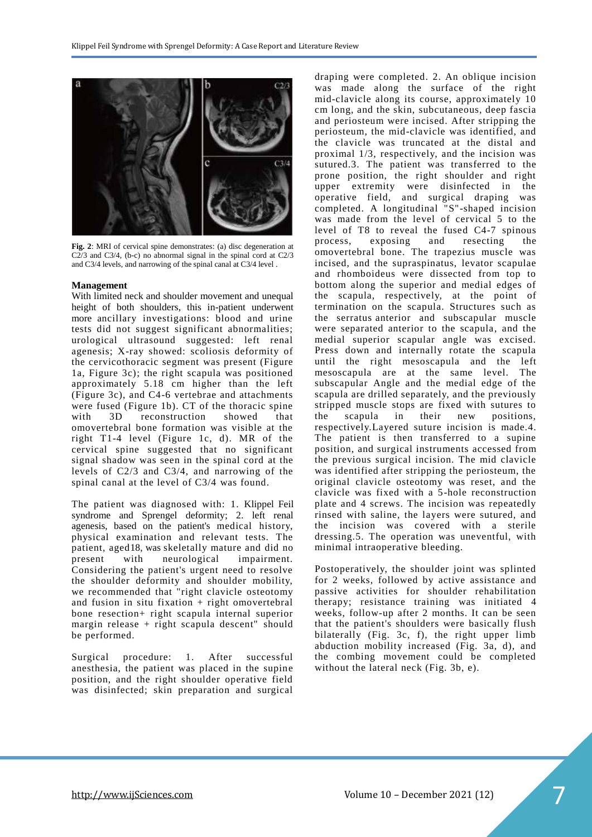

**Fig. 2**: MRI of cervical spine demonstrates: (a) disc degeneration at C2/3 and C3/4, (b-c) no abnormal signal in the spinal cord at C2/3 and C3/4 levels, and narrowing of the spinal canal at C3/4 level .

### **Management**

With limited neck and shoulder movement and unequal height of both shoulders, this in-patient underwent more ancillary investigations: blood and urine tests did not suggest significant abnormalities; urological ultrasound suggested: left renal agenesis; X-ray showed: scoliosis deformity of the cervicothoracic segment was present (Figure 1a, Figure 3c); the right scapula was positioned approximately 5.18 cm higher than the left (Figure 3c), and C4-6 vertebrae and attachments were fused (Figure 1b). CT of the thoracic spine with 3D reconstruction showed that omovertebral bone formation was visible at the right T1-4 level (Figure 1c, d). MR of the cervical spine suggested that no significant signal shadow was seen in the spinal cord at the levels of C2/3 and C3/4, and narrowing of the spinal canal at the level of C3/4 was found.

The patient was diagnosed with: 1. Klippel Feil syndrome and Sprengel deformity; 2. left renal agenesis, based on the patient's medical history, physical examination and relevant tests. The patient, aged18, was skeletally mature and did no present with neurological impairment. Considering the patient's urgent need to resolve the shoulder deformity and shoulder mobility, we recommended that "right clavicle osteotomy and fusion in situ fixation  $+$  right omovertebral bone resection+ right scapula internal superior margin release + right scapula descent" should be performed.

Surgical procedure: 1. After successful anesthesia, the patient was placed in the supine position, and the right shoulder operative field was disinfected; skin preparation and surgical draping were completed. 2. An oblique incision was made along the surface of the right mid-clavicle along its course, approximately 10 cm long, and the skin, subcutaneous, deep fascia and periosteum were incised. After stripping the periosteum, the mid-clavicle was identified, and the clavicle was truncated at the distal and proximal 1/3, respectively, and the incision was sutured.3. The patient was transferred to the prone position, the right shoulder and right upper extremity were disinfected in the operative field, and surgical draping was completed. A longitudinal "S"-shaped incision was made from the level of cervical 5 to the level of T8 to reveal the fused C4-7 spinous process, exposing and resecting the omovertebral bone. The trapezius muscle was incised, and the supraspinatus, levator scapulae and rhomboideus were dissected from top to bottom along the superior and medial edges of the scapula, respectively, at the point of termination on the scapula. Structures such as the [serratus](file:///D:/è½¯ä»¶/dict/Application/8.9.3.0/resultui/html/index.html#/javascript:;) [anterior](file:///D:/è½¯ä»¶/dict/Application/8.9.3.0/resultui/html/index.html#/javascript:;) and subscapular muscle were separated anterior to the scapula, and the medial superior scapular angle was excised. Press down and internally rotate the scapula until the right mesoscapula and the left mesoscapula are at the same level. The subscapular Angle and the medial edge of the scapula are drilled separately, and the previously stripped muscle stops are fixed with sutures to the scapula in their new positions, respectively.Layered suture incision is made.4. The patient is then transferred to a supine position, and surgical instruments accessed from the previous surgical incision. The mid clavicle was identified after stripping the periosteum, the original clavicle osteotomy was reset, and the clavicle was fixed with a 5-hole reconstruction plate and 4 screws. The incision was repeatedly rinsed with saline, the layers were sutured, and the incision was covered with a sterile dressing.5. The operation was uneventful, with minimal intraoperative bleeding.

Postoperatively, the shoulder joint was splinted for 2 weeks, followed by active assistance and passive activities for shoulder rehabilitation therapy; resistance training was initiated 4 weeks, follow-up after 2 months. It can be seen that the patient's shoulders were basically flush bilaterally (Fig. 3c, f), the right upper limb abduction mobility increased (Fig. 3a, d), and the combing movement could be completed without the lateral neck (Fig. 3b, e).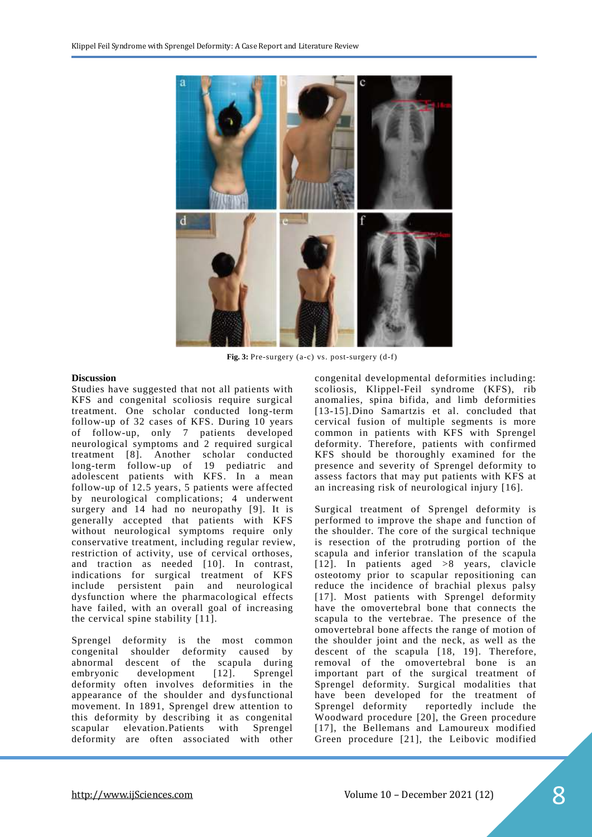

**Fig. 3:** Pre-surgery (a-c) vs. post-surgery (d-f)

### **Discussion**

Studies have suggested that not all patients with KFS and congenital scoliosis require surgical treatment. One scholar conducted long-term follow-up of 32 cases of KFS. During 10 years of follow-up, only 7 patients developed neurological symptoms and 2 required surgical treatment [8]. Another scholar conducted long-term follow-up of 19 pediatric and adolescent patients with KFS. In a mean follow-up of 12.5 years, 5 patients were affected by neurological complications; 4 underwent surgery and 14 had no neuropathy [9]. It is generally accepted that patients with KFS without neurological symptoms require only conservative treatment, including regular review, restriction of activity, use of cervical orthoses, and traction as needed [10]. In contrast, indications for surgical treatment of KFS include persistent pain and neurological dysfunction where the pharmacological effects have failed, with an overall goal of increasing the cervical spine stability [11].

Sprengel deformity is the most common congenital shoulder deformity caused by abnormal descent of the scapula during embryonic development [12]. Sprengel deformity often involves deformities in the appearance of the shoulder and dysfunctional movement. In 1891, Sprengel drew attention to this deformity by describing it as congenital scapular elevation.Patients with Sprengel deformity are often associated with other congenital developmental deformities including: scoliosis, Klippel-Feil syndrome (KFS), rib anomalies, spina bifida, and limb deformities [13-15].Dino Samartzis et al. concluded that cervical fusion of multiple segments is more common in patients with KFS with Sprengel deformity. Therefore, patients with confirmed KFS should be thoroughly examined for the presence and severity of Sprengel deformity to assess factors that may put patients with KFS at an increasing risk of neurological injury [16].

Surgical treatment of Sprengel deformity is performed to improve the shape and function of the shoulder. The core of the surgical technique is resection of the protruding portion of the scapula and inferior translation of the scapula [12]. In patients aged >8 years, clavicle osteotomy prior to scapular repositioning can reduce the incidence of brachial plexus palsy [17]. Most patients with Sprengel deformity have the omovertebral bone that connects the scapula to the vertebrae. The presence of the omovertebral bone affects the range of motion of the shoulder joint and the neck, as well as the descent of the scapula [18, 19]. Therefore, removal of the omovertebral bone is an important part of the surgical treatment of Sprengel deformity. Surgical modalities that have been developed for the treatment of Sprengel deformity reportedly include the Woodward procedure [20], the Green procedure [17], the Bellemans and Lamoureux modified Green procedure [21], the Leibovic modified